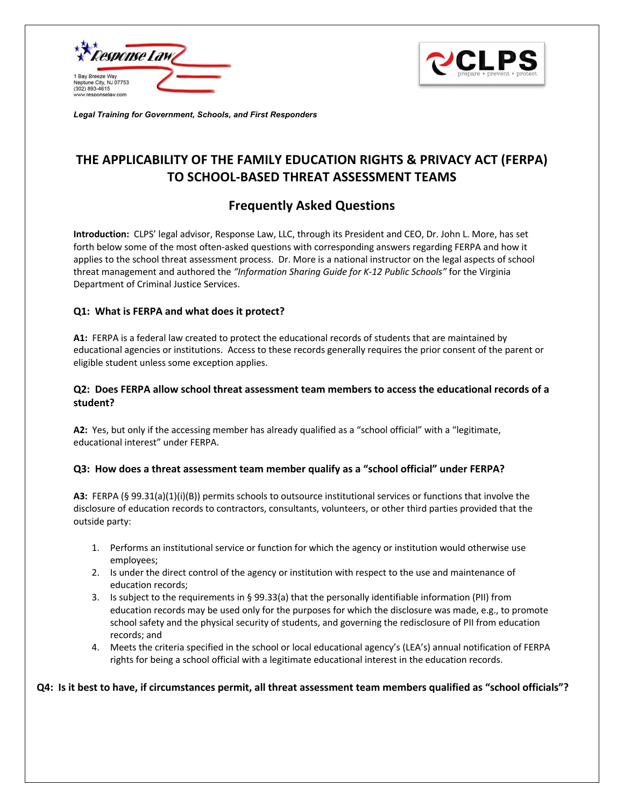



*Legal Training for Government, Schools, and First Responders* 

# **THE APPLICABILITY OF THE FAMILY EDUCATION RIGHTS & PRIVACY ACT (FERPA) TO SCHOOL-BASED THREAT ASSESSMENT TEAMS**

## **Frequently Asked Questions**

**Introduction:** CLPS' legal advisor, Response Law, LLC, through its President and CEO, Dr. John L. More, has set forth below some of the most often-asked questions with corresponding answers regarding FERPA and how it applies to the school threat assessment process. Dr. More is a national instructor on the legal aspects of school threat management and authored the *"Information Sharing Guide for K-12 Public Schools"* for the Virginia Department of Criminal Justice Services.

#### **Q1: What is FERPA and what does it protect?**

**A1:** FERPA is a federal law created to protect the educational records of students that are maintained by educational agencies or institutions. Access to these records generally requires the prior consent of the parent or eligible student unless some exception applies.

## **Q2: Does FERPA allow school threat assessment team members to access the educational records of a student?**

**A2:** Yes, but only if the accessing member has already qualified as a "school official" with a "legitimate, educational interest" under FERPA.

#### **Q3: How does a threat assessment team member qualify as a "school official" under FERPA?**

**A3:** FERPA (§ 99.31(a)(1)(i)(B)) permits schools to outsource institutional services or functions that involve the disclosure of education records to contractors, consultants, volunteers, or other third parties provided that the outside party:

- 1. Performs an institutional service or function for which the agency or institution would otherwise use employees;
- 2. Is under the direct control of the agency or institution with respect to the use and maintenance of education records;
- 3. Is subject to the requirements in § 99.33(a) that the personally identifiable information (PII) from education records may be used only for the purposes for which the disclosure was made, e.g., to promote school safety and the physical security of students, and governing the redisclosure of PII from education records; and
- 4. Meets the criteria specified in the school or local educational agency's (LEA's) annual notification of FERPA rights for being a school official with a legitimate educational interest in the education records.

#### **Q4: Is it best to have, if circumstances permit, all threat assessment team members qualified as "school officials"?**